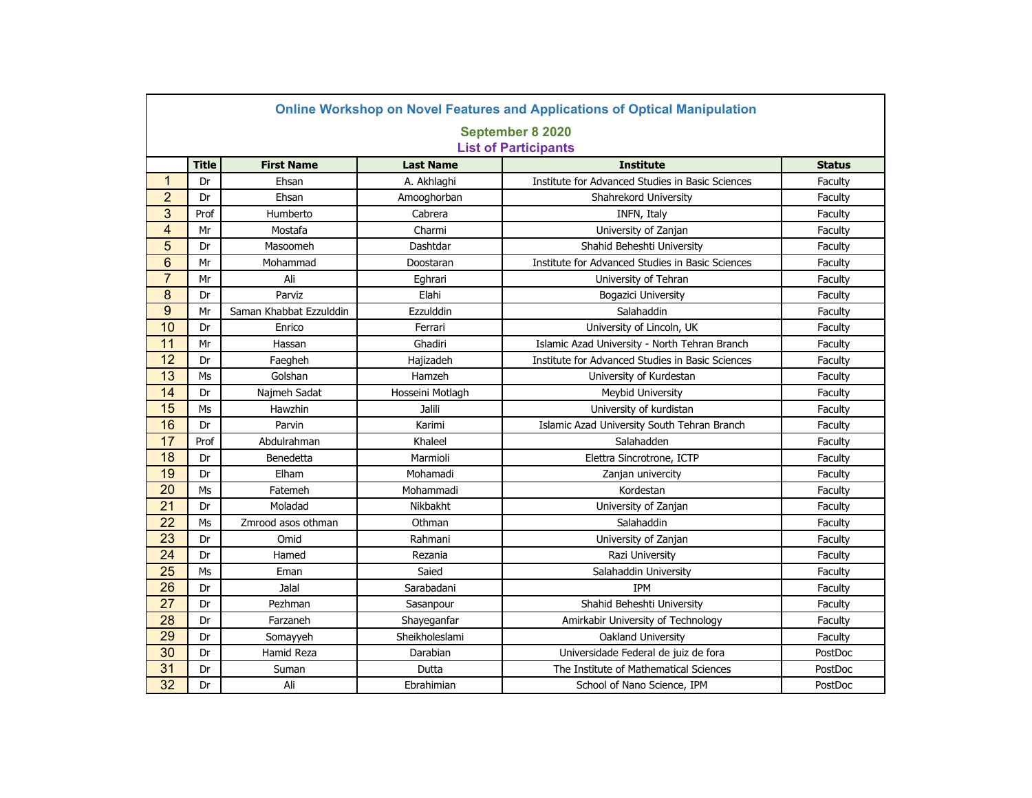|                 | <b>Online Workshop on Novel Features and Applications of Optical Manipulation</b> |                         |                  |                                                  |               |  |  |  |
|-----------------|-----------------------------------------------------------------------------------|-------------------------|------------------|--------------------------------------------------|---------------|--|--|--|
|                 | September 8 2020                                                                  |                         |                  |                                                  |               |  |  |  |
|                 | <b>List of Participants</b>                                                       |                         |                  |                                                  |               |  |  |  |
|                 | <b>Title</b>                                                                      | <b>First Name</b>       | <b>Last Name</b> | <b>Institute</b>                                 | <b>Status</b> |  |  |  |
| $\mathbf{1}$    | Dr                                                                                | Ehsan                   | A. Akhlaghi      | Institute for Advanced Studies in Basic Sciences | Faculty       |  |  |  |
| $\overline{2}$  | Dr                                                                                | Ehsan                   | Amooghorban      | Shahrekord University                            | Faculty       |  |  |  |
| 3               | Prof                                                                              | Humberto                | Cabrera          | INFN, Italy                                      | Faculty       |  |  |  |
| $\overline{4}$  | Mr                                                                                | Mostafa                 | Charmi           | University of Zanjan                             | Faculty       |  |  |  |
| $\overline{5}$  | Dr                                                                                | Masoomeh                | Dashtdar         | Shahid Beheshti University                       | Faculty       |  |  |  |
| 6               | Mr                                                                                | Mohammad                | Doostaran        | Institute for Advanced Studies in Basic Sciences | Faculty       |  |  |  |
| $\overline{7}$  | Mr                                                                                | Ali                     | Eghrari          | University of Tehran                             | Faculty       |  |  |  |
| 8               | Dr                                                                                | Parviz                  | Elahi            | Bogazici University                              | Faculty       |  |  |  |
| 9               | Mr                                                                                | Saman Khabbat Ezzulddin | Ezzulddin        | Salahaddin                                       | Faculty       |  |  |  |
| 10              | Dr                                                                                | Enrico                  | Ferrari          | University of Lincoln, UK                        | Faculty       |  |  |  |
| 11              | Mr                                                                                | Hassan                  | Ghadiri          | Islamic Azad University - North Tehran Branch    | Faculty       |  |  |  |
| 12              | Dr                                                                                | Faegheh                 | Hajizadeh        | Institute for Advanced Studies in Basic Sciences | Faculty       |  |  |  |
| 13              | Ms                                                                                | Golshan                 | Hamzeh           | University of Kurdestan                          | Faculty       |  |  |  |
| 14              | Dr                                                                                | Najmeh Sadat            | Hosseini Motlagh | Meybid University                                | Faculty       |  |  |  |
| 15              | Ms                                                                                | Hawzhin                 | Jalili           | University of kurdistan                          | Faculty       |  |  |  |
| 16              | Dr                                                                                | Parvin                  | Karimi           | Islamic Azad University South Tehran Branch      | Faculty       |  |  |  |
| 17              | Prof                                                                              | Abdulrahman             | Khaleel          | Salahadden                                       | Faculty       |  |  |  |
| 18              | Dr                                                                                | Benedetta               | Marmioli         | Elettra Sincrotrone, ICTP                        | Faculty       |  |  |  |
| 19              | Dr                                                                                | Elham                   | Mohamadi         | Zanjan univercity                                | Faculty       |  |  |  |
| $\overline{20}$ | Ms                                                                                | Fatemeh                 | Mohammadi        | Kordestan                                        | Faculty       |  |  |  |
| 21              | Dr                                                                                | Moladad                 | Nikbakht         | University of Zanjan                             | Faculty       |  |  |  |
| 22              | Ms                                                                                | Zmrood asos othman      | Othman           | Salahaddin                                       | Faculty       |  |  |  |
| 23              | Dr                                                                                | Omid                    | Rahmani          | University of Zanjan                             | Faculty       |  |  |  |
| 24              | Dr                                                                                | Hamed                   | Rezania          | Razi University                                  | Faculty       |  |  |  |
| 25              | Ms                                                                                | Eman                    | Saied            | Salahaddin University                            | Faculty       |  |  |  |
| 26              | Dr                                                                                | Jalal                   | Sarabadani       | <b>IPM</b>                                       | Faculty       |  |  |  |
| 27              | Dr                                                                                | Pezhman                 | Sasanpour        | Shahid Beheshti University                       | Faculty       |  |  |  |
| 28              | Dr                                                                                | Farzaneh                | Shayeganfar      | Amirkabir University of Technology               | Faculty       |  |  |  |
| 29              | Dr                                                                                | Somayyeh                | Sheikholeslami   | Oakland University                               | Faculty       |  |  |  |
| 30              | Dr                                                                                | Hamid Reza              | Darabian         | Universidade Federal de juiz de fora             | PostDoc       |  |  |  |
| 31              | Dr                                                                                | Suman                   | Dutta            | The Institute of Mathematical Sciences           | PostDoc       |  |  |  |
| 32              | Dr                                                                                | Ali                     | Ebrahimian       | School of Nano Science, IPM                      | PostDoc       |  |  |  |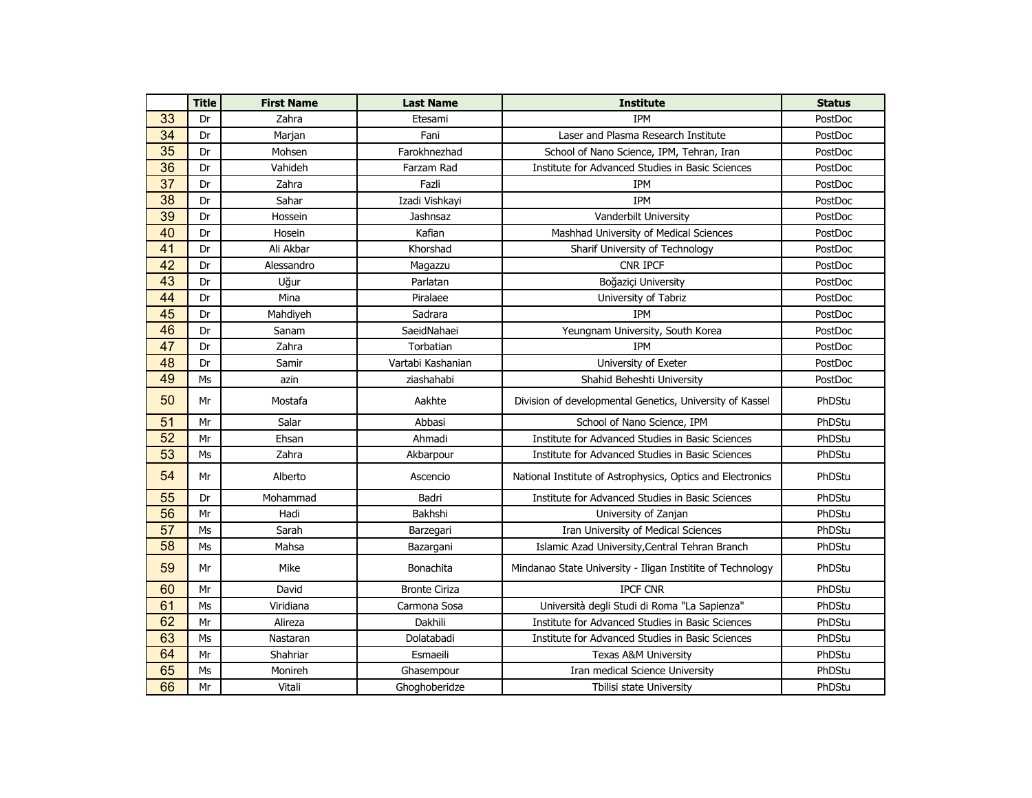|                 | <b>Title</b> | <b>First Name</b> | <b>Last Name</b>     | <b>Institute</b>                                           | <b>Status</b> |
|-----------------|--------------|-------------------|----------------------|------------------------------------------------------------|---------------|
| 33              | Dr           | Zahra             | Etesami              | <b>IPM</b>                                                 | PostDoc       |
| 34              | Dr           | Marjan            | Fani                 | Laser and Plasma Research Institute                        | PostDoc       |
| 35              | Dr           | Mohsen            | Farokhnezhad         | School of Nano Science, IPM, Tehran, Iran                  | PostDoc       |
| 36              | Dr           | Vahideh           | Farzam Rad           | Institute for Advanced Studies in Basic Sciences           | PostDoc       |
| $\overline{37}$ | Dr           | Zahra             | Fazli                | <b>IPM</b>                                                 | PostDoc       |
| $\overline{38}$ | Dr           | Sahar             | Izadi Vishkayi       | <b>IPM</b>                                                 | PostDoc       |
| 39              | Dr           | Hossein           | Jashnsaz             | Vanderbilt University                                      | PostDoc       |
| 40              | Dr           | Hosein            | Kafian               | Mashhad University of Medical Sciences                     | PostDoc       |
| 41              | Dr           | Ali Akbar         | Khorshad             | Sharif University of Technology                            | PostDoc       |
| $\overline{42}$ | Dr           | Alessandro        | Magazzu              | CNR IPCF                                                   | PostDoc       |
| 43              | Dr           | Uğur              | Parlatan             | Boğaziçi University                                        | PostDoc       |
| 44              | Dr           | Mina              | Piralaee             | University of Tabriz                                       | PostDoc       |
| 45              | Dr           | Mahdiyeh          | Sadrara              | <b>IPM</b>                                                 | PostDoc       |
| 46              | Dr           | Sanam             | SaeidNahaei          | Yeungnam University, South Korea                           | PostDoc       |
| 47              | Dr           | Zahra             | Torbatian            | <b>IPM</b>                                                 | PostDoc       |
| 48              | Dr           | Samir             | Vartabi Kashanian    | University of Exeter                                       | PostDoc       |
| 49              | Ms           | azin              | ziashahabi           | Shahid Beheshti University                                 | PostDoc       |
| 50              | Mr           | Mostafa           | Aakhte               | Division of developmental Genetics, University of Kassel   | PhDStu        |
| $\overline{51}$ | Mr           | Salar             | Abbasi               | School of Nano Science, IPM                                | PhDStu        |
| 52              | Mr           | Ehsan             | Ahmadi               | Institute for Advanced Studies in Basic Sciences           | PhDStu        |
| 53              | Ms           | Zahra             | Akbarpour            | Institute for Advanced Studies in Basic Sciences           | PhDStu        |
| 54              | Mr           | Alberto           | Ascencio             | National Institute of Astrophysics, Optics and Electronics | PhDStu        |
| 55              | Dr           | Mohammad          | Badri                | Institute for Advanced Studies in Basic Sciences           | PhDStu        |
| 56              | Mr           | Hadi              | Bakhshi              | University of Zanjan                                       | PhDStu        |
| 57              | Ms           | Sarah             | Barzegari            | Iran University of Medical Sciences                        | PhDStu        |
| 58              | Ms           | Mahsa             | Bazargani            | Islamic Azad University, Central Tehran Branch             | PhDStu        |
| 59              | Mr           | Mike              | Bonachita            | Mindanao State University - Iligan Institite of Technology | PhDStu        |
| 60              | Mr           | David             | <b>Bronte Ciriza</b> | <b>IPCF CNR</b>                                            | PhDStu        |
| 61              | Ms           | Viridiana         | Carmona Sosa         | Università degli Studi di Roma "La Sapienza"               | PhDStu        |
| 62              | Mr           | Alireza           | Dakhili              | Institute for Advanced Studies in Basic Sciences           | PhDStu        |
| 63              | Ms           | Nastaran          | Dolatabadi           | Institute for Advanced Studies in Basic Sciences           | PhDStu        |
| 64              | Mr           | Shahriar          | Esmaeili             | <b>Texas A&amp;M University</b>                            | PhDStu        |
| 65              | Ms           | Monireh           | Ghasempour           | Iran medical Science University                            | PhDStu        |
| 66              | Mr           | Vitali            | Ghoghoberidze        | Tbilisi state University                                   | PhDStu        |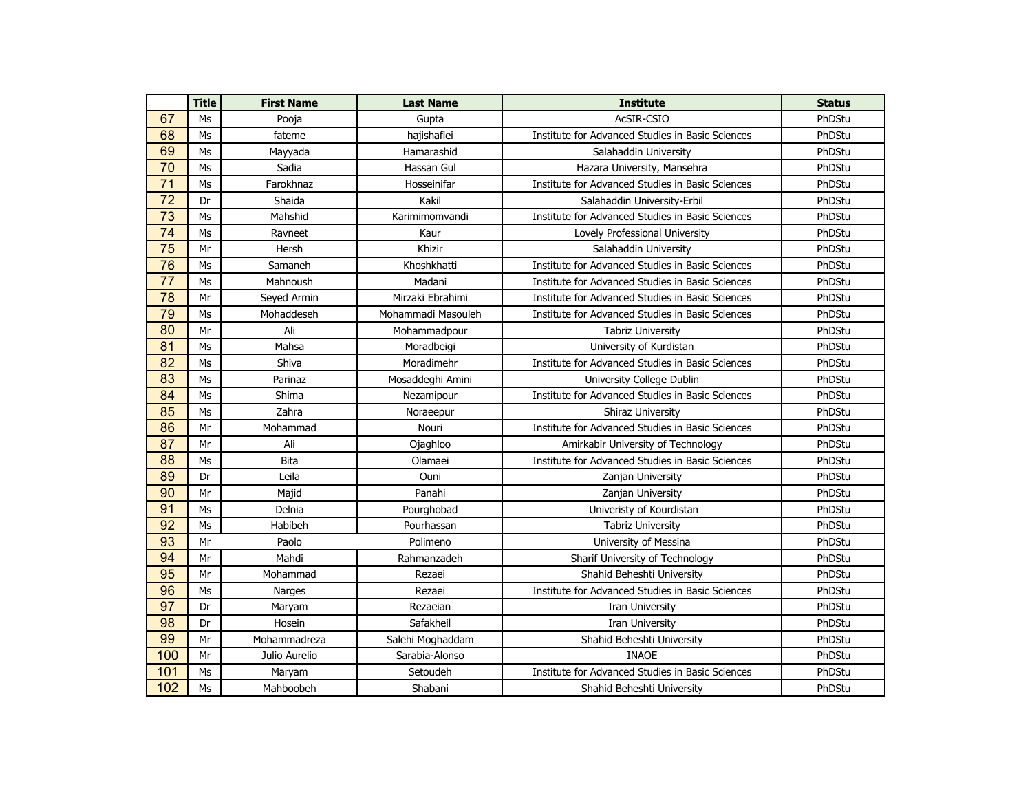|                 | <b>Title</b>   | <b>First Name</b> | <b>Last Name</b>   | <b>Institute</b>                                 | <b>Status</b> |
|-----------------|----------------|-------------------|--------------------|--------------------------------------------------|---------------|
| 67              | Ms             | Pooja             | Gupta              | AcSIR-CSIO                                       | PhDStu        |
| 68              | M <sub>S</sub> | fateme            | hajishafiei        | Institute for Advanced Studies in Basic Sciences | PhDStu        |
| 69              | Ms             | Mayyada           | Hamarashid         | Salahaddin University                            | PhDStu        |
| 70              | M <sub>S</sub> | Sadia             | Hassan Gul         | Hazara University, Mansehra                      | PhDStu        |
| 71              | M <sub>S</sub> | Farokhnaz         | Hosseinifar        | Institute for Advanced Studies in Basic Sciences | PhDStu        |
| $\overline{72}$ | Dr             | Shaida            | Kakil              | Salahaddin University-Erbil                      | PhDStu        |
| 73              | M <sub>S</sub> | Mahshid           | Karimimomvandi     | Institute for Advanced Studies in Basic Sciences | PhDStu        |
| 74              | M <sub>S</sub> | Ravneet           | Kaur               | Lovely Professional University                   | PhDStu        |
| 75              | Mr             | Hersh             | Khizir             | Salahaddin University                            | PhDStu        |
| 76              | Ms             | Samaneh           | Khoshkhatti        | Institute for Advanced Studies in Basic Sciences | PhDStu        |
| 77              | Ms             | Mahnoush          | Madani             | Institute for Advanced Studies in Basic Sciences | PhDStu        |
| 78              | Mr             | Seyed Armin       | Mirzaki Ebrahimi   | Institute for Advanced Studies in Basic Sciences | PhDStu        |
| 79              | Ms             | Mohaddeseh        | Mohammadi Masouleh | Institute for Advanced Studies in Basic Sciences | PhDStu        |
| 80              | Mr             | Ali               | Mohammadpour       | <b>Tabriz University</b>                         | PhDStu        |
| 81              | Ms             | Mahsa             | Moradbeigi         | University of Kurdistan                          | PhDStu        |
| 82              | Ms             | Shiva             | Moradimehr         | Institute for Advanced Studies in Basic Sciences | PhDStu        |
| 83              | Ms             | Parinaz           | Mosaddeghi Amini   | University College Dublin                        | PhDStu        |
| 84              | Ms             | Shima             | Nezamipour         | Institute for Advanced Studies in Basic Sciences | PhDStu        |
| 85              | Ms             | Zahra             | Noraeepur          | Shiraz University                                | PhDStu        |
| 86              | Mr             | Mohammad          | Nouri              | Institute for Advanced Studies in Basic Sciences | PhDStu        |
| 87              | Mr             | Ali               | Ojaghloo           | Amirkabir University of Technology               | PhDStu        |
| 88              | M <sub>S</sub> | <b>Bita</b>       | Olamaei            | Institute for Advanced Studies in Basic Sciences | PhDStu        |
| 89              | Dr             | Leila             | Ouni               | Zanjan University                                | PhDStu        |
| 90              | Mr             | Majid             | Panahi             | Zanjan University                                | PhDStu        |
| 91              | M <sub>S</sub> | Delnia            | Pourghobad         | Univeristy of Kourdistan                         | PhDStu        |
| 92              | M <sub>S</sub> | Habibeh           | Pourhassan         | <b>Tabriz University</b>                         | PhDStu        |
| 93              | Mr             | Paolo             | Polimeno           | University of Messina                            | PhDStu        |
| 94              | Mr             | Mahdi             | Rahmanzadeh        | Sharif University of Technology                  | PhDStu        |
| 95              | Mr             | Mohammad          | Rezaei             | Shahid Beheshti University                       | PhDStu        |
| 96              | Ms             | Narges            | Rezaei             | Institute for Advanced Studies in Basic Sciences | PhDStu        |
| 97              | Dr             | Maryam            | Rezaeian           | Iran University                                  | PhDStu        |
| 98              | Dr             | Hosein            | Safakheil          | Iran University                                  | PhDStu        |
| 99              | Mr             | Mohammadreza      | Salehi Moghaddam   | Shahid Beheshti University                       | PhDStu        |
| 100             | Mr             | Julio Aurelio     | Sarabia-Alonso     | <b>INAOE</b>                                     | PhDStu        |
| 101             | Ms             | Maryam            | Setoudeh           | Institute for Advanced Studies in Basic Sciences | PhDStu        |
| 102             | Ms             | Mahboobeh         | Shabani            | Shahid Beheshti University                       | PhDStu        |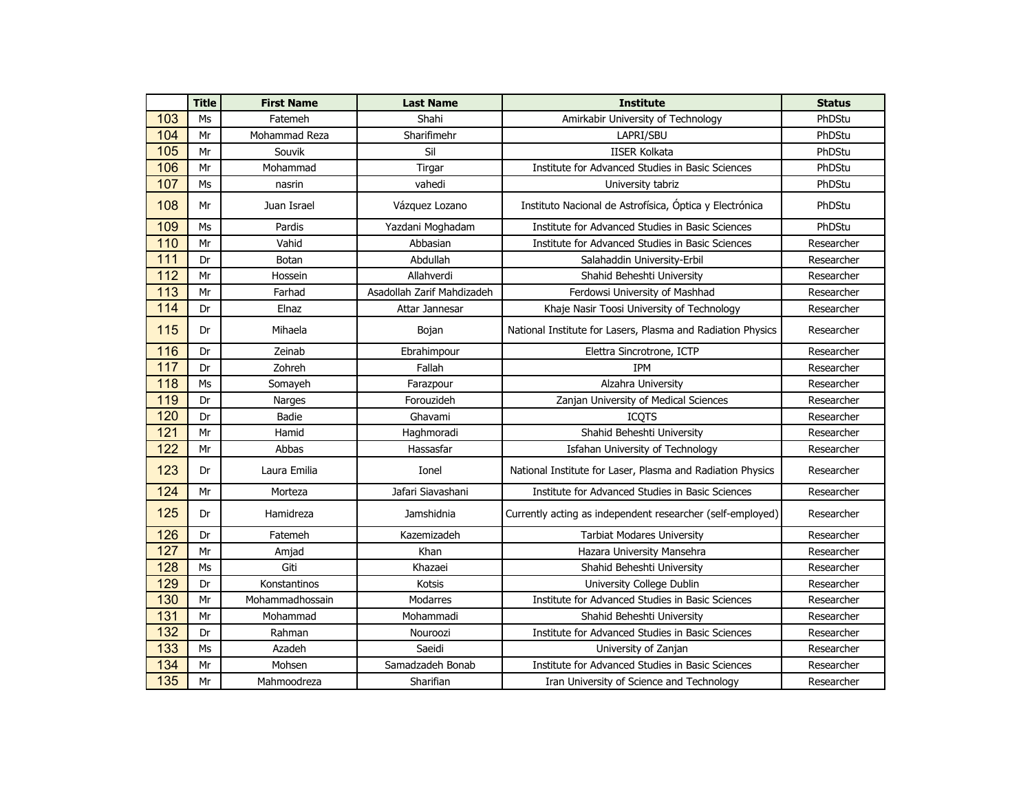|     | <b>Title</b> | <b>First Name</b> | <b>Last Name</b>           | <b>Institute</b>                                            | <b>Status</b> |
|-----|--------------|-------------------|----------------------------|-------------------------------------------------------------|---------------|
| 103 | Ms           | Fatemeh           | Shahi                      | Amirkabir University of Technology                          | PhDStu        |
| 104 | Mr           | Mohammad Reza     | Sharifimehr                | LAPRI/SBU                                                   | PhDStu        |
| 105 | Mr           | Souvik            | Sil                        | <b>IISER Kolkata</b>                                        | PhDStu        |
| 106 | Mr           | Mohammad          | Tirgar                     | Institute for Advanced Studies in Basic Sciences            | PhDStu        |
| 107 | Ms           | nasrin            | vahedi                     | University tabriz                                           | PhDStu        |
| 108 | Mr           | Juan Israel       | Vázquez Lozano             | Instituto Nacional de Astrofísica, Óptica y Electrónica     | PhDStu        |
| 109 | Ms           | Pardis            | Yazdani Moghadam           | Institute for Advanced Studies in Basic Sciences            | PhDStu        |
| 110 | Mr           | Vahid             | Abbasian                   | Institute for Advanced Studies in Basic Sciences            | Researcher    |
| 111 | Dr           | <b>Botan</b>      | Abdullah                   | Salahaddin University-Erbil                                 | Researcher    |
| 112 | Mr           | Hossein           | Allahverdi                 | Shahid Beheshti University                                  | Researcher    |
| 113 | Mr           | Farhad            | Asadollah Zarif Mahdizadeh | Ferdowsi University of Mashhad                              | Researcher    |
| 114 | Dr           | Elnaz             | Attar Jannesar             | Khaje Nasir Toosi University of Technology                  | Researcher    |
| 115 | Dr           | Mihaela           | Bojan                      | National Institute for Lasers, Plasma and Radiation Physics | Researcher    |
| 116 | Dr           | Zeinab            | Ebrahimpour                | Elettra Sincrotrone, ICTP                                   | Researcher    |
| 117 | Dr           | Zohreh            | Fallah                     | <b>IPM</b>                                                  | Researcher    |
| 118 | Ms           | Somayeh           | Farazpour                  | Alzahra University                                          | Researcher    |
| 119 | Dr           | Narges            | Forouzideh                 | Zanjan University of Medical Sciences                       | Researcher    |
| 120 | Dr           | Badie             | Ghavami                    | <b>ICQTS</b>                                                | Researcher    |
| 121 | Mr           | Hamid             | Haghmoradi                 | Shahid Beheshti University                                  | Researcher    |
| 122 | Mr           | Abbas             | Hassasfar                  | Isfahan University of Technology                            | Researcher    |
| 123 | Dr           | Laura Emilia      | Ionel                      | National Institute for Laser, Plasma and Radiation Physics  | Researcher    |
| 124 | Mr           | Morteza           | Jafari Siavashani          | Institute for Advanced Studies in Basic Sciences            | Researcher    |
| 125 | Dr           | Hamidreza         | Jamshidnia                 | Currently acting as independent researcher (self-employed)  | Researcher    |
| 126 | Dr           | Fatemeh           | Kazemizadeh                | <b>Tarbiat Modares University</b>                           | Researcher    |
| 127 | Mr           | Amjad             | Khan                       | Hazara University Mansehra                                  | Researcher    |
| 128 | Ms           | Giti              | Khazaei                    | Shahid Beheshti University                                  | Researcher    |
| 129 | Dr           | Konstantinos      | Kotsis                     | University College Dublin                                   | Researcher    |
| 130 | Mr           | Mohammadhossain   | <b>Modarres</b>            | Institute for Advanced Studies in Basic Sciences            | Researcher    |
| 131 | Mr           | Mohammad          | Mohammadi                  | Shahid Beheshti University                                  | Researcher    |
| 132 | Dr           | Rahman            | Nouroozi                   | Institute for Advanced Studies in Basic Sciences            | Researcher    |
| 133 | Ms           | Azadeh            | Saeidi                     | University of Zanjan                                        | Researcher    |
| 134 | Mr           | Mohsen            | Samadzadeh Bonab           | Institute for Advanced Studies in Basic Sciences            | Researcher    |
| 135 | Mr           | Mahmoodreza       | Sharifian                  | Iran University of Science and Technology                   | Researcher    |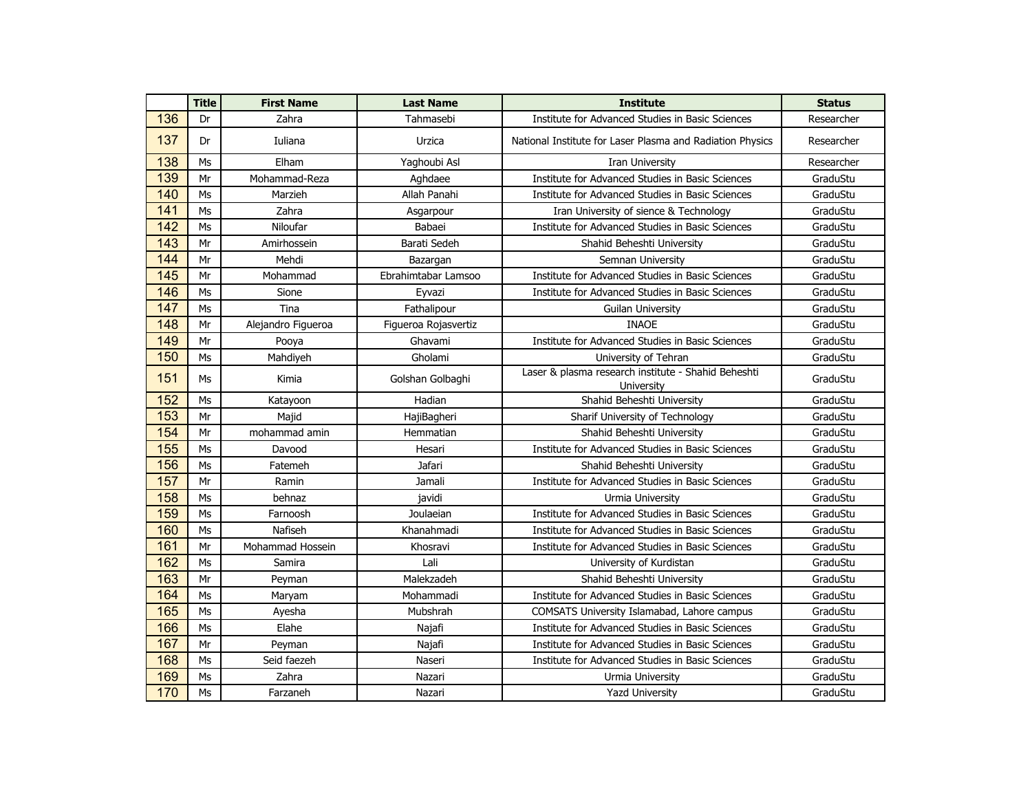|     | <b>Title</b> | <b>First Name</b>  | <b>Last Name</b>     | <b>Institute</b>                                                  | <b>Status</b> |
|-----|--------------|--------------------|----------------------|-------------------------------------------------------------------|---------------|
| 136 | Dr           | Zahra              | Tahmasebi            | Institute for Advanced Studies in Basic Sciences                  | Researcher    |
| 137 | Dr           | Iuliana            | Urzica               | National Institute for Laser Plasma and Radiation Physics         | Researcher    |
| 138 | Ms           | Elham              | Yaghoubi Asl         | Iran University                                                   | Researcher    |
| 139 | Mr           | Mohammad-Reza      | Aghdaee              | Institute for Advanced Studies in Basic Sciences                  | GraduStu      |
| 140 | Ms           | Marzieh            | Allah Panahi         | Institute for Advanced Studies in Basic Sciences                  | GraduStu      |
| 141 | Ms           | Zahra              | Asgarpour            | Iran University of sience & Technology                            | GraduStu      |
| 142 | Ms           | Niloufar           | Babaei               | Institute for Advanced Studies in Basic Sciences                  | GraduStu      |
| 143 | Mr           | Amirhossein        | Barati Sedeh         | Shahid Beheshti University                                        | GraduStu      |
| 144 | Mr           | Mehdi              | Bazargan             | Semnan University                                                 | GraduStu      |
| 145 | Mr           | Mohammad           | Ebrahimtabar Lamsoo  | Institute for Advanced Studies in Basic Sciences                  | GraduStu      |
| 146 | Ms           | Sione              | Eyvazi               | Institute for Advanced Studies in Basic Sciences                  | GraduStu      |
| 147 | Ms           | Tina               | Fathalipour          | <b>Guilan University</b>                                          | GraduStu      |
| 148 | Mr           | Alejandro Figueroa | Figueroa Rojasvertiz | <b>INAOE</b>                                                      | GraduStu      |
| 149 | Mr           | Pooya              | Ghavami              | Institute for Advanced Studies in Basic Sciences                  | GraduStu      |
| 150 | Ms           | Mahdiyeh           | Gholami              | University of Tehran                                              | GraduStu      |
| 151 | Ms           | Kimia              | Golshan Golbaghi     | Laser & plasma research institute - Shahid Beheshti<br>University | GraduStu      |
| 152 | Ms           | Katayoon           | Hadian               | Shahid Beheshti University                                        | GraduStu      |
| 153 | Mr           | Majid              | HajiBagheri          | Sharif University of Technology                                   | GraduStu      |
| 154 | Mr           | mohammad amin      | Hemmatian            | Shahid Beheshti University                                        | GraduStu      |
| 155 | Ms           | Davood             | Hesari               | Institute for Advanced Studies in Basic Sciences                  | GraduStu      |
| 156 | Ms           | Fatemeh            | Jafari               | Shahid Beheshti University                                        | GraduStu      |
| 157 | Mr           | Ramin              | Jamali               | Institute for Advanced Studies in Basic Sciences                  | GraduStu      |
| 158 | Ms           | behnaz             | javidi               | Urmia University                                                  | GraduStu      |
| 159 | Ms           | Farnoosh           | Joulaeian            | Institute for Advanced Studies in Basic Sciences                  | GraduStu      |
| 160 | Ms           | Nafiseh            | Khanahmadi           | Institute for Advanced Studies in Basic Sciences                  | GraduStu      |
| 161 | Mr           | Mohammad Hossein   | Khosravi             | Institute for Advanced Studies in Basic Sciences                  | GraduStu      |
| 162 | Ms           | Samira             | Lali                 | University of Kurdistan                                           | GraduStu      |
| 163 | Mr           | Peyman             | Malekzadeh           | Shahid Beheshti University                                        | GraduStu      |
| 164 | Ms           | Maryam             | Mohammadi            | Institute for Advanced Studies in Basic Sciences                  | GraduStu      |
| 165 | Ms           | Ayesha             | Mubshrah             | COMSATS University Islamabad, Lahore campus                       | GraduStu      |
| 166 | Ms           | Elahe              | Najafi               | Institute for Advanced Studies in Basic Sciences                  | GraduStu      |
| 167 | Mr           | Peyman             | Najafi               | Institute for Advanced Studies in Basic Sciences                  | GraduStu      |
| 168 | Ms           | Seid faezeh        | Naseri               | Institute for Advanced Studies in Basic Sciences                  | GraduStu      |
| 169 | Ms           | Zahra              | Nazari               | Urmia University                                                  | GraduStu      |
| 170 | Ms           | Farzaneh           | Nazari               | <b>Yazd University</b>                                            | GraduStu      |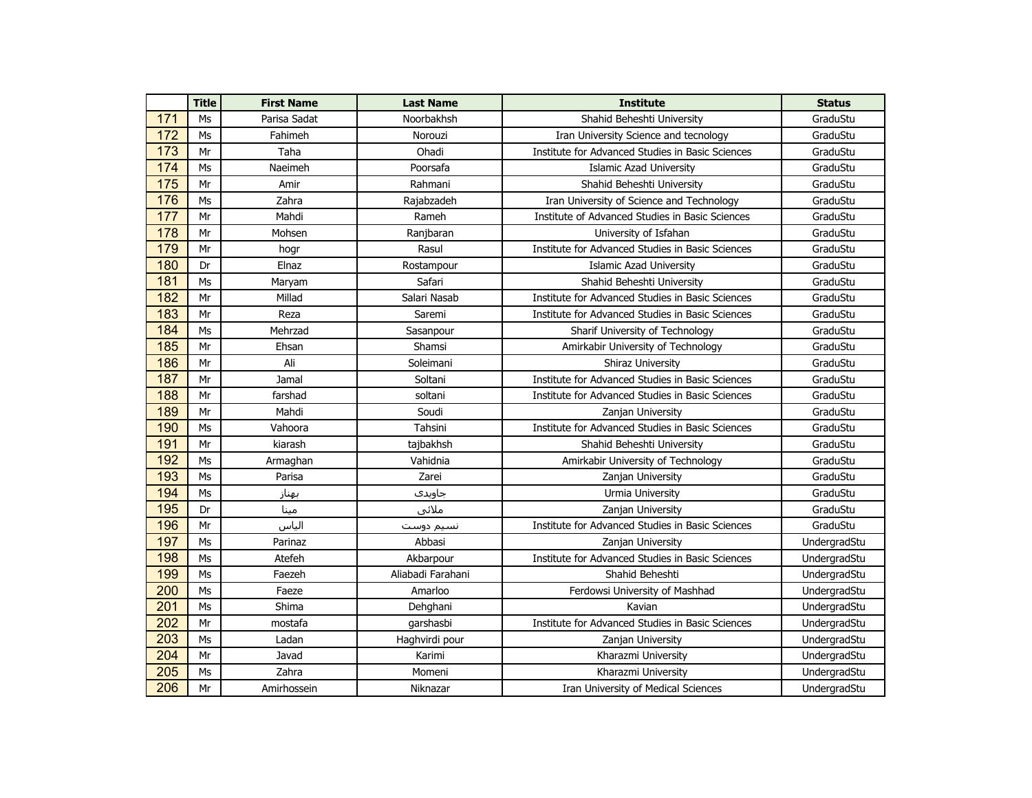|                  | <b>Title</b>   | <b>First Name</b> | <b>Last Name</b>  | <b>Institute</b>                                 | <b>Status</b> |
|------------------|----------------|-------------------|-------------------|--------------------------------------------------|---------------|
| 171              | Ms             | Parisa Sadat      | Noorbakhsh        | Shahid Beheshti University                       | GraduStu      |
| 172              | Ms             | Fahimeh           | Norouzi           | Iran University Science and tecnology            | GraduStu      |
| 173              | Mr             | Taha              | Ohadi             | Institute for Advanced Studies in Basic Sciences | GraduStu      |
| 174              | Ms             | Naeimeh           | Poorsafa          | <b>Islamic Azad University</b>                   | GraduStu      |
| 175              | Mr             | Amir              | Rahmani           | Shahid Beheshti University                       | GraduStu      |
| 176              | Ms             | Zahra             | Rajabzadeh        | Iran University of Science and Technology        | GraduStu      |
| 177              | Mr             | Mahdi             | Rameh             | Institute of Advanced Studies in Basic Sciences  | GraduStu      |
| 178              | Mr             | Mohsen            | Ranjbaran         | University of Isfahan                            | GraduStu      |
| 179              | Mr             | hogr              | Rasul             | Institute for Advanced Studies in Basic Sciences | GraduStu      |
| 180              | Dr             | Elnaz             | Rostampour        | <b>Islamic Azad University</b>                   | GraduStu      |
| 181              | M <sub>S</sub> | Maryam            | Safari            | Shahid Beheshti University                       | GraduStu      |
| 182              | Mr             | Millad            | Salari Nasab      | Institute for Advanced Studies in Basic Sciences | GraduStu      |
| 183              | Mr             | Reza              | Saremi            | Institute for Advanced Studies in Basic Sciences | GraduStu      |
| 184              | Ms             | Mehrzad           | Sasanpour         | Sharif University of Technology                  | GraduStu      |
| 185              | Mr             | Ehsan             | Shamsi            | Amirkabir University of Technology               | GraduStu      |
| 186              | Mr             | Ali               | Soleimani         | Shiraz University                                | GraduStu      |
| 187              | Mr             | Jamal             | Soltani           | Institute for Advanced Studies in Basic Sciences | GraduStu      |
| 188              | Mr             | farshad           | soltani           | Institute for Advanced Studies in Basic Sciences | GraduStu      |
| 189              | Mr             | Mahdi             | Soudi             | Zanjan University                                | GraduStu      |
| 190              | Ms             | Vahoora           | Tahsini           | Institute for Advanced Studies in Basic Sciences | GraduStu      |
| 191              | Mr             | kiarash           | tajbakhsh         | Shahid Beheshti University                       | GraduStu      |
| 192              | M <sub>S</sub> | Armaghan          | Vahidnia          | Amirkabir University of Technology               | GraduStu      |
| 193              | M <sub>S</sub> | Parisa            | Zarei             | Zanjan University                                | GraduStu      |
| 194              | M <sub>S</sub> | بهناز             | جاويدى            | Urmia University                                 | GraduStu      |
| 195              | Dr             | مينا              | ملائي             | Zanjan University                                | GraduStu      |
| 196              | Mr             | الياس             | نسيم دوست         | Institute for Advanced Studies in Basic Sciences | GraduStu      |
| 197              | Ms             | Parinaz           | Abbasi            | Zanjan University                                | UndergradStu  |
| 198              | Ms             | Atefeh            | Akbarpour         | Institute for Advanced Studies in Basic Sciences | UndergradStu  |
| 199              | Ms             | Faezeh            | Aliabadi Farahani | Shahid Beheshti                                  | UndergradStu  |
| 200              | Ms             | Faeze             | Amarloo           | Ferdowsi University of Mashhad                   | UndergradStu  |
| $\overline{201}$ | Ms             | Shima             | Dehghani          | Kavian                                           | UndergradStu  |
| 202              | Mr             | mostafa           | garshasbi         | Institute for Advanced Studies in Basic Sciences | UndergradStu  |
| 203              | Ms             | Ladan             | Haghvirdi pour    | Zanjan University                                | UndergradStu  |
| 204              | Mr             | Javad             | Karimi            | Kharazmi University                              | UndergradStu  |
| 205              | Ms             | Zahra             | Momeni            | Kharazmi University                              | UndergradStu  |
| 206              | Mr             | Amirhossein       | Niknazar          | Iran University of Medical Sciences              | UndergradStu  |